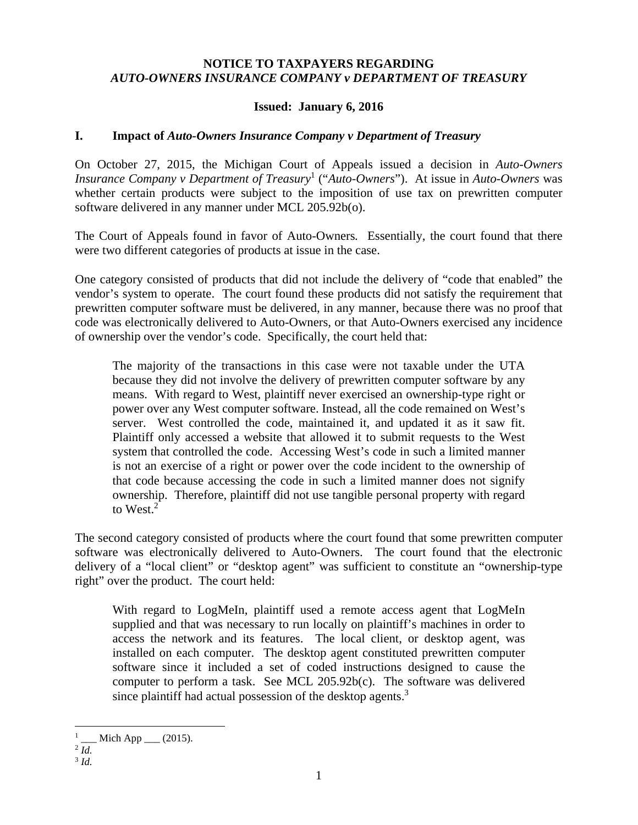## **NOTICE TO TAXPAYERS REGARDING**  *AUTO-OWNERS INSURANCE COMPANY v DEPARTMENT OF TREASURY*

## **Issued: January 6, 2016**

## **I. Impact of** *Auto-Owners Insurance Company v Department of Treasury*

On October 27, 2015, the Michigan Court of Appeals issued a decision in *Auto-Owners Insurance Company v Department of Treasury*<sup>1</sup> ("*Auto-Owners*"). At issue in *Auto-Owners* was whether certain products were subject to the imposition of use tax on prewritten computer software delivered in any manner under MCL 205.92b(o).

The Court of Appeals found in favor of Auto-Owners*.* Essentially, the court found that there were two different categories of products at issue in the case.

One category consisted of products that did not include the delivery of "code that enabled" the vendor's system to operate. The court found these products did not satisfy the requirement that prewritten computer software must be delivered, in any manner, because there was no proof that code was electronically delivered to Auto-Owners, or that Auto-Owners exercised any incidence of ownership over the vendor's code. Specifically, the court held that:

The majority of the transactions in this case were not taxable under the UTA because they did not involve the delivery of prewritten computer software by any means. With regard to West, plaintiff never exercised an ownership-type right or power over any West computer software. Instead, all the code remained on West's server. West controlled the code, maintained it, and updated it as it saw fit. Plaintiff only accessed a website that allowed it to submit requests to the West system that controlled the code. Accessing West's code in such a limited manner is not an exercise of a right or power over the code incident to the ownership of that code because accessing the code in such a limited manner does not signify ownership. Therefore, plaintiff did not use tangible personal property with regard to West. $2$ 

The second category consisted of products where the court found that some prewritten computer software was electronically delivered to Auto-Owners. The court found that the electronic delivery of a "local client" or "desktop agent" was sufficient to constitute an "ownership-type right" over the product. The court held:

With regard to LogMeIn, plaintiff used a remote access agent that LogMeIn supplied and that was necessary to run locally on plaintiff's machines in order to access the network and its features. The local client, or desktop agent, was installed on each computer. The desktop agent constituted prewritten computer software since it included a set of coded instructions designed to cause the computer to perform a task. See MCL 205.92b(c). The software was delivered since plaintiff had actual possession of the desktop agents. $3$ 

 $\overline{a}$ 1 \_\_\_ Mich App \_\_\_ (2015).

<sup>2</sup> *Id.*

<sup>3</sup> *Id.*